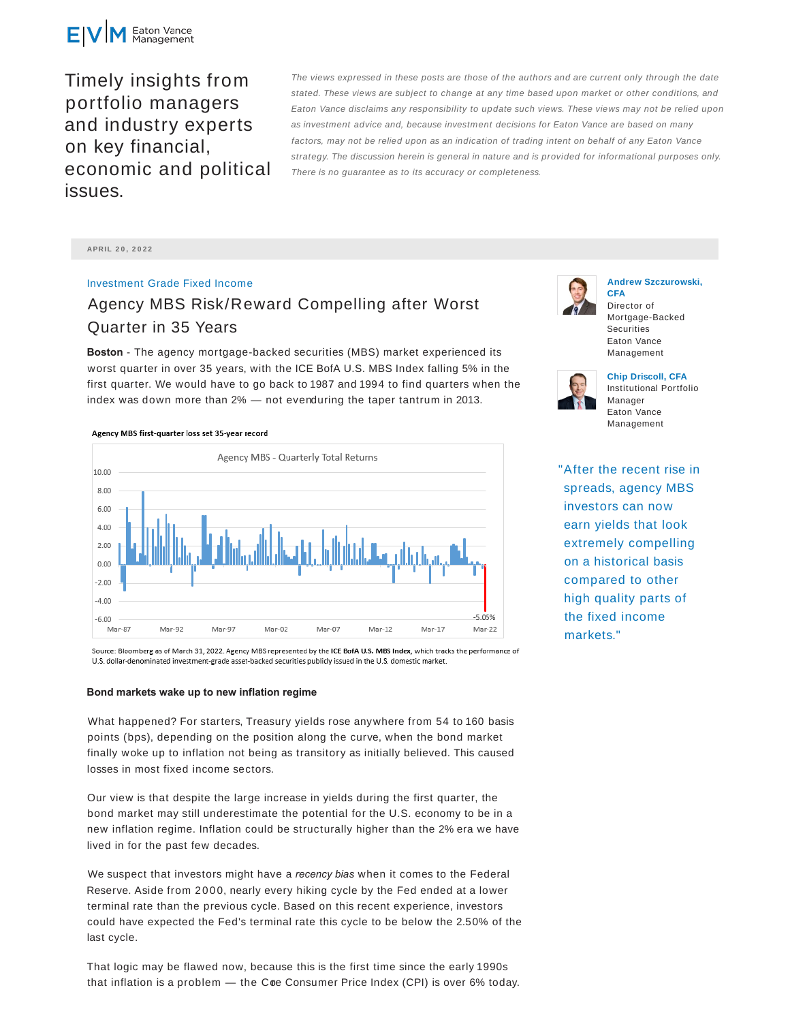

Timely insights from portfolio managers and industry experts on key financial, economic and political issues.

The views expressed in these posts are those of the authors and are current only through the date stated. These views are subject to change at any time based upon market or other conditions, and Eaton Vance disclaims any responsibility to update such views. These views may not be relied upon as investment advice and, because investment decisions for Eaton Vance are based on many factors, may not be relied upon as an indication of trading intent on behalf of any Eaton Vance strategy. The discussion herein is general in nature and is provided for informational purposes only. There is no guarantee as to its accuracy or completeness.

**APRIL 2 0 , 2 0 2 2**

Investment Grade Fixed Income

# Agency MBS Risk/Reward Compelling after Worst Quarter in 35 Years

**Boston** - The agency mortgage-backed securities (MBS) market experienced its worst quarter in over 35 years, with the ICE BofA U.S. MBS Index falling 5% in the first quarter. We would have to go back to 1987 and 1994 to find quarters when the index was down more than  $2\%$  — not evenduring the taper tantrum in 2013.

#### Agency MBS first-quarter loss set 35-year record



Source: Bloomberg as of March 31, 2022. Agency MBS represented by the ICE BofA U.S. MBS Index, which tracks the performance of U.S. dollar-denominated investment-grade asset-backed securities publicly issued in the U.S. domestic market.

### **Bond markets wake up to new inflation regime**

What happened? For starters, Treasury yields rose anywhere from 54 to 160 basis points (bps), depending on the position along the curve, when the bond market finally woke up to inflation not being as transitory as initially believed. This caused losses in most fixed income sectors.

Our view is that despite the large increase in yields during the first quarter, the bond market may still underestimate the potential for the U.S. economy to be in a new inflation regime. Inflation could be structurally higher than the 2% era we have lived in for the past few decades.

We suspect that investors might have a *recency bias* when it comes to the Federal Reserve. Aside from 2000, nearly every hiking cycle by the Fed ended at a lower terminal rate than the previous cycle. Based on this recent experience, investors could have expected the Fed's terminal rate this cycle to be below the 2.50% of the last cycle.

That logic may be flawed now, because this is the first time since the early 1990s that inflation is a problem  $-$  the Core Consumer Price Index (CPI) is over 6% today.



## **Andrew Szczurowski, CFA**

Director of Mortgage-Backed **Securities** Eaton Vance Management



**Chip Driscoll, CFA** Institutional Portfolio Manager Eaton Vance Management

"After the recent rise in spreads, agency MBS investors can now earn yields that look extremely compelling on a historical basis compared to other high quality parts of the fixed income markets."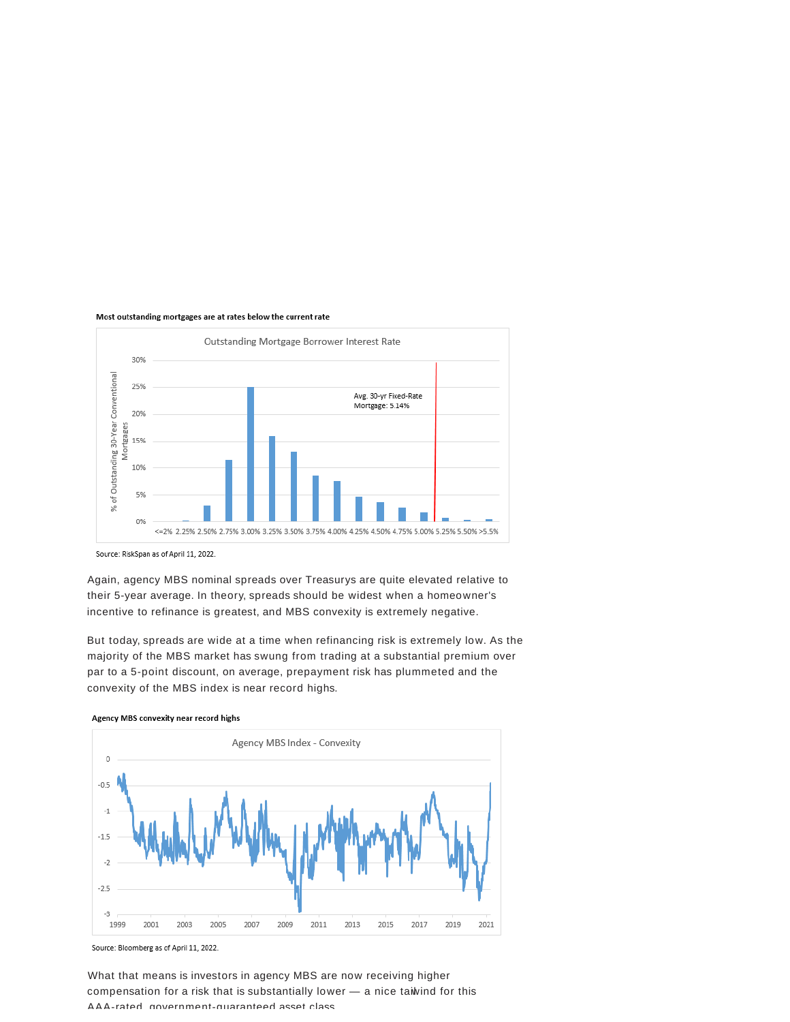#### Most outstanding mortgages are at rates below the current rate



Source: RiskSpan as of April 11, 2022.

Again, agency MBS nominal spreads over Treasurys are quite elevated relative to their 5-year average. In theory, spreads should be widest when a homeowner's incentive to refinance is greatest, and MBS convexity is extremely negative.

But today, spreads are wide at a time when refinancing risk is extremely low. As the majority of the MBS market has swung from trading at a substantial premium over par to a 5-point discount, on average, prepayment risk has plummeted and the convexity of the MBS index is near record highs.



Agency MBS convexity near record highs

Source: Bloomberg as of April 11, 2022.

What that means is investors in agency MBS are now receiving higher compensation for a risk that is substantially lower — a nice taiwind for this AAA-rated, government-guaranteed asset class.